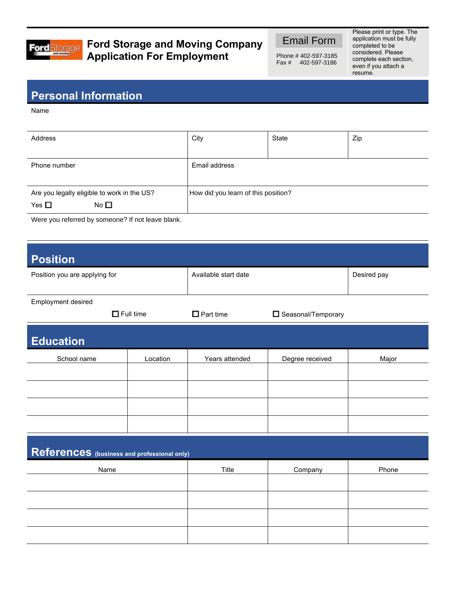

## **Ford Storage and Moving Company Application For Employment**

Email Form

Phone # 402-597-3185 Fax # 402-597-3186

Please print or type. The application must be fully completed to be considered. Please complete each section, even if you attach a resume.

## **Personal Information**

Name

| Address                                                                      | City                                | State | Zip |
|------------------------------------------------------------------------------|-------------------------------------|-------|-----|
| Phone number                                                                 | Email address                       |       |     |
| Are you legally eligible to work in the US?<br>Yes $\square$<br>No $\square$ | How did you learn of this position? |       |     |

Were you referred by someone? If not leave blank.

| <b>Position</b>                             |                  |                      |                    |             |  |  |
|---------------------------------------------|------------------|----------------------|--------------------|-------------|--|--|
| Position you are applying for               |                  | Available start date |                    | Desired pay |  |  |
|                                             |                  |                      |                    |             |  |  |
| Employment desired                          | $\Box$ Full time | $\Box$ Part time     | Seasonal/Temporary |             |  |  |
|                                             |                  |                      |                    |             |  |  |
| <b>Education</b>                            |                  |                      |                    |             |  |  |
| School name                                 | Location         | Years attended       | Degree received    | Major       |  |  |
|                                             |                  |                      |                    |             |  |  |
|                                             |                  |                      |                    |             |  |  |
|                                             |                  |                      |                    |             |  |  |
|                                             |                  |                      |                    |             |  |  |
| References (business and professional only) |                  |                      |                    |             |  |  |
| Name                                        |                  | Title                | Company            | Phone       |  |  |
|                                             |                  |                      |                    |             |  |  |
|                                             |                  |                      |                    |             |  |  |
|                                             |                  |                      |                    |             |  |  |